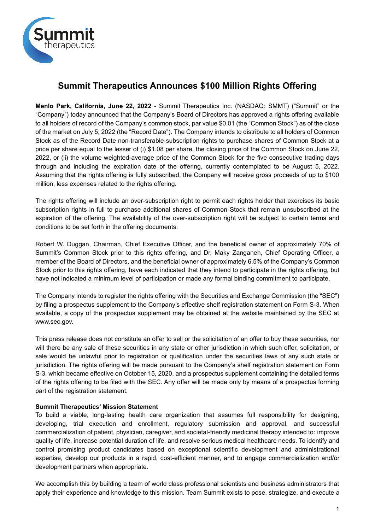

# **Summit Therapeutics Announces \$100 Million Rights Offering**

**Menlo Park, California, June 22, 2022** - Summit Therapeutics Inc. (NASDAQ: SMMT) ("Summit" or the "Company") today announced that the Company's Board of Directors has approved a rights offering available to all holders of record of the Company's common stock, par value \$0.01 (the "Common Stock") as of the close of the market on July 5, 2022 (the "Record Date"). The Company intends to distribute to all holders of Common Stock as of the Record Date non-transferable subscription rights to purchase shares of Common Stock at a price per share equal to the lesser of (i) \$1.08 per share, the closing price of the Common Stock on June 22, 2022, or (ii) the volume weighted-average price of the Common Stock for the five consecutive trading days through and including the expiration date of the offering, currently contemplated to be August 5, 2022. Assuming that the rights offering is fully subscribed, the Company will receive gross proceeds of up to \$100 million, less expenses related to the rights offering.

The rights offering will include an over-subscription right to permit each rights holder that exercises its basic subscription rights in full to purchase additional shares of Common Stock that remain unsubscribed at the expiration of the offering. The availability of the over-subscription right will be subject to certain terms and conditions to be set forth in the offering documents.

Robert W. Duggan, Chairman, Chief Executive Officer, and the beneficial owner of approximately 70% of Summit's Common Stock prior to this rights offering, and Dr. Maky Zanganeh, Chief Operating Officer, a member of the Board of Directors, and the beneficial owner of approximately 6.5% of the Company's Common Stock prior to this rights offering, have each indicated that they intend to participate in the rights offering, but have not indicated a minimum level of participation or made any formal binding commitment to participate.

The Company intends to register the rights offering with the Securities and Exchange Commission (the "SEC") by filing a prospectus supplement to the Company's effective shelf registration statement on Form S-3. When available, a copy of the prospectus supplement may be obtained at the website maintained by the SEC at www.sec.gov.

This press release does not constitute an offer to sell or the solicitation of an offer to buy these securities, nor will there be any sale of these securities in any state or other jurisdiction in which such offer, solicitation, or sale would be unlawful prior to registration or qualification under the securities laws of any such state or jurisdiction. The rights offering will be made pursuant to the Company's shelf registration statement on Form S-3, which became effective on October 15, 2020, and a prospectus supplement containing the detailed terms of the rights offering to be filed with the SEC. Any offer will be made only by means of a prospectus forming part of the registration statement.

## **Summit Therapeutics' Mission Statement**

To build a viable, long-lasting health care organization that assumes full responsibility for designing, developing, trial execution and enrollment, regulatory submission and approval, and successful commercialization of patient, physician, caregiver, and societal-friendly medicinal therapy intended to: improve quality of life, increase potential duration of life, and resolve serious medical healthcare needs. To identify and control promising product candidates based on exceptional scientific development and administrational expertise, develop our products in a rapid, cost-efficient manner, and to engage commercialization and/or development partners when appropriate.

We accomplish this by building a team of world class professional scientists and business administrators that apply their experience and knowledge to this mission. Team Summit exists to pose, strategize, and execute a